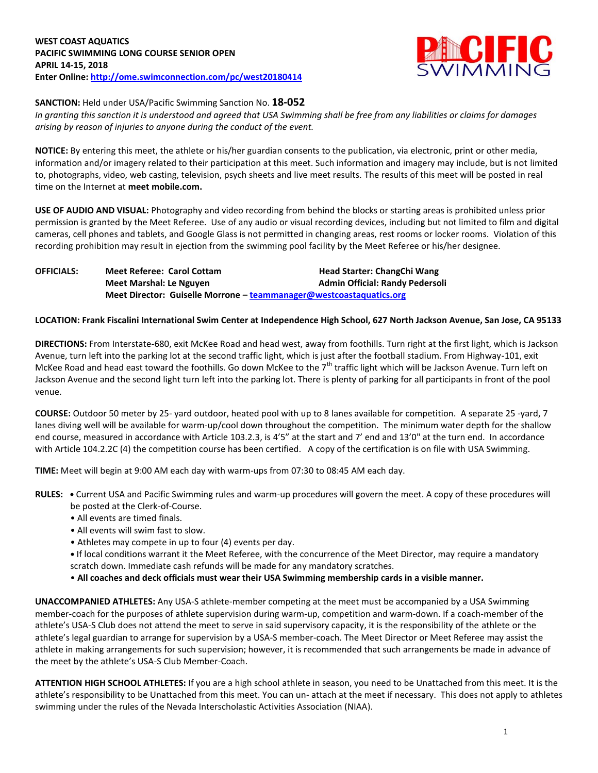

## **SANCTION:** Held under USA/Pacific Swimming Sanction No. **18-052**

*In granting this sanction it is understood and agreed that USA Swimming shall be free from any liabilities or claims for damages arising by reason of injuries to anyone during the conduct of the event.*

**NOTICE:** By entering this meet, the athlete or his/her guardian consents to the publication, via electronic, print or other media, information and/or imagery related to their participation at this meet. Such information and imagery may include, but is not limited to, photographs, video, web casting, television, psych sheets and live meet results. The results of this meet will be posted in real time on the Internet at **meet mobile.com.**

**USE OF AUDIO AND VISUAL:** Photography and video recording from behind the blocks or starting areas is prohibited unless prior permission is granted by the Meet Referee. Use of any audio or visual recording devices, including but not limited to film and digital cameras, cell phones and tablets, and Google Glass is not permitted in changing areas, rest rooms or locker rooms. Violation of this recording prohibition may result in ejection from the swimming pool facility by the Meet Referee or his/her designee.

| <b>OFFICIALS:</b> | <b>Meet Referee: Carol Cottam</b>                                   | <b>Head Starter: ChangChi Wang</b>     |  |  |  |  |  |  |
|-------------------|---------------------------------------------------------------------|----------------------------------------|--|--|--|--|--|--|
|                   | Meet Marshal: Le Nguyen                                             | <b>Admin Official: Randy Pedersoli</b> |  |  |  |  |  |  |
|                   | Meet Director: Guiselle Morrone - teammanager@westcoastaquatics.org |                                        |  |  |  |  |  |  |

## **LOCATION: Frank Fiscalini International Swim Center at Independence High School, 627 North Jackson Avenue, San Jose, CA 95133**

**DIRECTIONS:** From Interstate-680, exit McKee Road and head west, away from foothills. Turn right at the first light, which is Jackson Avenue, turn left into the parking lot at the second traffic light, which is just after the football stadium. From Highway-101, exit McKee Road and head east toward the foothills. Go down McKee to the  $7<sup>th</sup>$  traffic light which will be Jackson Avenue. Turn left on Jackson Avenue and the second light turn left into the parking lot. There is plenty of parking for all participants in front of the pool venue.

**COURSE:** Outdoor 50 meter by 25- yard outdoor, heated pool with up to 8 lanes available for competition.A separate 25 -yard, 7 lanes diving well will be available for warm-up/cool down throughout the competition. The minimum water depth for the shallow end course, measured in accordance with Article 103.2.3, is 4'5" at the start and 7' end and 13'0" at the turn end. In accordance with Article 104.2.2C (4) the competition course has been certified. A copy of the certification is on file with USA Swimming.

**TIME:** Meet will begin at 9:00 AM each day with warm-ups from 07:30 to 08:45 AM each day.

- **RULES:** Current USA and Pacific Swimming rules and warm-up procedures will govern the meet. A copy of these procedures will be posted at the Clerk-of-Course.
	- All events are timed finals.
	- All events will swim fast to slow.
	- Athletes may compete in up to four (4) events per day.
	- If local conditions warrant it the Meet Referee, with the concurrence of the Meet Director, may require a mandatory scratch down. Immediate cash refunds will be made for any mandatory scratches.
	- **All coaches and deck officials must wear their USA Swimming membership cards in a visible manner.**

**UNACCOMPANIED ATHLETES:** Any USA-S athlete-member competing at the meet must be accompanied by a USA Swimming member-coach for the purposes of athlete supervision during warm-up, competition and warm-down. If a coach-member of the athlete's USA-S Club does not attend the meet to serve in said supervisory capacity, it is the responsibility of the athlete or the athlete's legal guardian to arrange for supervision by a USA-S member-coach. The Meet Director or Meet Referee may assist the athlete in making arrangements for such supervision; however, it is recommended that such arrangements be made in advance of the meet by the athlete's USA-S Club Member-Coach.

**ATTENTION HIGH SCHOOL ATHLETES:** If you are a high school athlete in season, you need to be Unattached from this meet. It is the athlete's responsibility to be Unattached from this meet. You can un- attach at the meet if necessary. This does not apply to athletes swimming under the rules of the Nevada Interscholastic Activities Association (NIAA).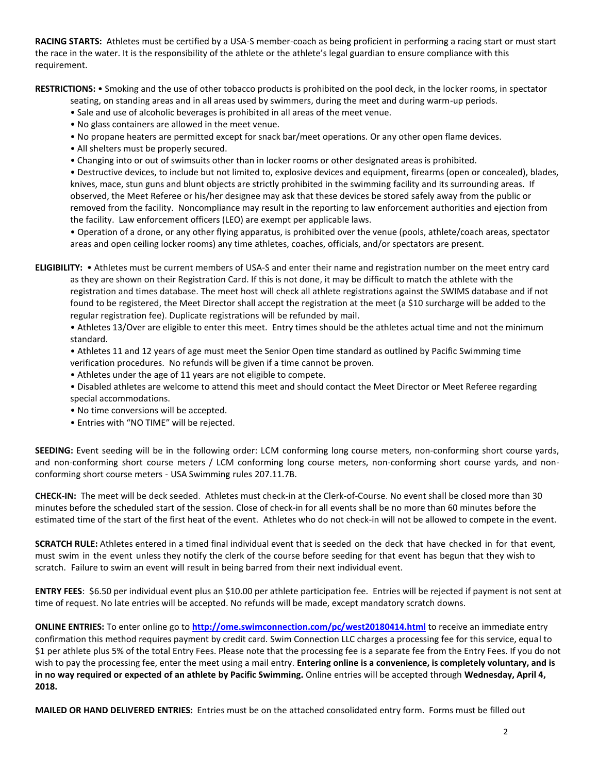**RACING STARTS:** Athletes must be certified by a USA-S member-coach as being proficient in performing a racing start or must start the race in the water. It is the responsibility of the athlete or the athlete's legal guardian to ensure compliance with this requirement.

**RESTRICTIONS:** • Smoking and the use of other tobacco products is prohibited on the pool deck, in the locker rooms, in spectator

seating, on standing areas and in all areas used by swimmers, during the meet and during warm-up periods.

- Sale and use of alcoholic beverages is prohibited in all areas of the meet venue.
- No glass containers are allowed in the meet venue.
- No propane heaters are permitted except for snack bar/meet operations. Or any other open flame devices.
- All shelters must be properly secured.
- Changing into or out of swimsuits other than in locker rooms or other designated areas is prohibited.

• Destructive devices, to include but not limited to, explosive devices and equipment, firearms (open or concealed), blades, knives, mace, stun guns and blunt objects are strictly prohibited in the swimming facility and its surrounding areas. If observed, the Meet Referee or his/her designee may ask that these devices be stored safely away from the public or removed from the facility. Noncompliance may result in the reporting to law enforcement authorities and ejection from the facility. Law enforcement officers (LEO) are exempt per applicable laws.

• Operation of a drone, or any other flying apparatus, is prohibited over the venue (pools, athlete/coach areas, spectator areas and open ceiling locker rooms) any time athletes, coaches, officials, and/or spectators are present.

**ELIGIBILITY:** • Athletes must be current members of USA-S and enter their name and registration number on the meet entry card as they are shown on their Registration Card. If this is not done, it may be difficult to match the athlete with the registration and times database. The meet host will check all athlete registrations against the SWIMS database and if not found to be registered, the Meet Director shall accept the registration at the meet (a \$10 surcharge will be added to the regular registration fee). Duplicate registrations will be refunded by mail.

• Athletes 13/Over are eligible to enter this meet. Entry times should be the athletes actual time and not the minimum standard.

• Athletes 11 and 12 years of age must meet the Senior Open time standard as outlined by Pacific Swimming time verification procedures. No refunds will be given if a time cannot be proven.

- Athletes under the age of 11 years are not eligible to compete.
- Disabled athletes are welcome to attend this meet and should contact the Meet Director or Meet Referee regarding special accommodations.
- No time conversions will be accepted.
- Entries with "NO TIME" will be rejected.

**SEEDING:** Event seeding will be in the following order: LCM conforming long course meters, non-conforming short course yards, and non-conforming short course meters / LCM conforming long course meters, non-conforming short course yards, and nonconforming short course meters - USA Swimming rules 207.11.7B.

**CHECK-IN:** The meet will be deck seeded. Athletes must check-in at the Clerk-of-Course. No event shall be closed more than 30 minutes before the scheduled start of the session. Close of check‐in for all events shall be no more than 60 minutes before the estimated time of the start of the first heat of the event. Athletes who do not check-in will not be allowed to compete in the event.

**SCRATCH RULE:** Athletes entered in a timed final individual event that is seeded on the deck that have checked in for that event, must swim in the event unless they notify the clerk of the course before seeding for that event has begun that they wish to scratch. Failure to swim an event will result in being barred from their next individual event.

**ENTRY FEES**: \$6.50 per individual event plus an \$10.00 per athlete participation fee. Entries will be rejected if payment is not sent at time of request. No late entries will be accepted. No refunds will be made, except mandatory scratch downs.

**ONLINE ENTRIES:** To enter online go to **<http://ome.swimconnection.com/pc/west20180414.html>** to receive an immediate entry confirmation this method requires payment by credit card. Swim Connection LLC charges a processing fee for this service, equal to \$1 per athlete plus 5% of the total Entry Fees. Please note that the processing fee is a separate fee from the Entry Fees. If you do not wish to pay the processing fee, enter the meet using a mail entry. **Entering online is a convenience, is completely voluntary, and is in no way required or expected of an athlete by Pacific Swimming.** Online entries will be accepted through **Wednesday, April 4, 2018.**

**MAILED OR HAND DELIVERED ENTRIES:** Entries must be on the attached consolidated entry form. Forms must be filled out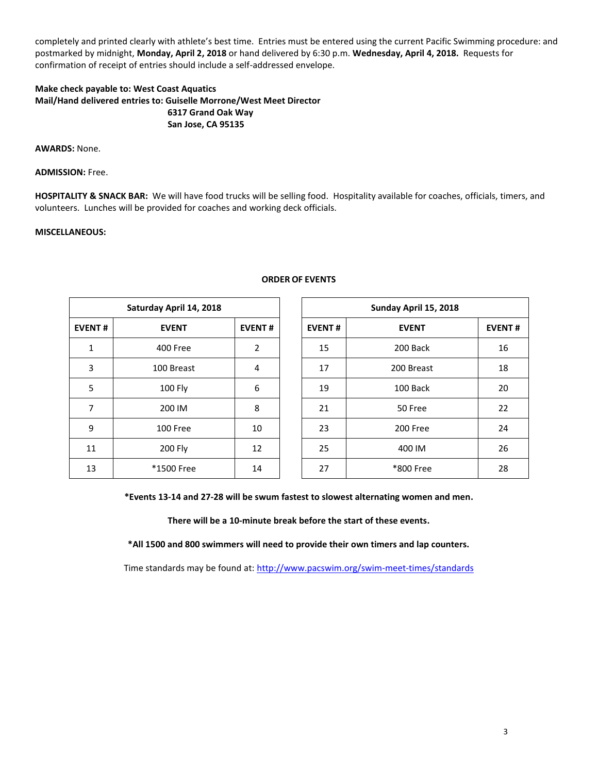completely and printed clearly with athlete's best time. Entries must be entered using the current Pacific Swimming procedure: and postmarked by midnight, **Monday, April 2, 2018** or hand delivered by 6:30 p.m. **Wednesday, April 4, 2018.** Requests for confirmation of receipt of entries should include a self-addressed envelope.

## **Make check payable to: West Coast Aquatics Mail/Hand delivered entries to: Guiselle Morrone/West Meet Director 6317 Grand Oak Way San Jose, CA 95135**

**AWARDS:** None.

**ADMISSION:** Free.

**HOSPITALITY & SNACK BAR:** We will have food trucks will be selling food. Hospitality available for coaches, officials, timers, and volunteers. Lunches will be provided for coaches and working deck officials.

#### **MISCELLANEOUS:**

| Saturday April 14, 2018 |                |               |  |  |  |  |  |  |
|-------------------------|----------------|---------------|--|--|--|--|--|--|
| <b>EVENT#</b>           | <b>EVENT</b>   | <b>EVENT#</b> |  |  |  |  |  |  |
| 1                       | 400 Free       | 2             |  |  |  |  |  |  |
| 3                       | 100 Breast     | 4             |  |  |  |  |  |  |
| 5                       | <b>100 Fly</b> | 6             |  |  |  |  |  |  |
| 7                       | 200 IM         | 8             |  |  |  |  |  |  |
| 9                       | 100 Free       | 10            |  |  |  |  |  |  |
| 11                      | 200 Fly        | 12            |  |  |  |  |  |  |
| 13                      | *1500 Free     | 14            |  |  |  |  |  |  |

# **ORDER OF EVENTS**

|                | Saturday April 14, 2018 |                |               | Sunday April 15, 2018 |               |
|----------------|-------------------------|----------------|---------------|-----------------------|---------------|
| <b>EVENT#</b>  | <b>EVENT</b>            | <b>EVENT#</b>  | <b>EVENT#</b> | <b>EVENT</b>          | <b>EVENT#</b> |
| 1              | 400 Free                | $\overline{2}$ | 15            | 200 Back              | 16            |
| 3              | 100 Breast              | 4              | 17            | 200 Breast            | 18            |
| 5              | 100 Fly                 | 6              | 19            | 100 Back              | 20            |
| $\overline{7}$ | 200 IM                  | 8              | 21            | 50 Free               | 22            |
| 9              | 100 Free                | 10             | 23            | 200 Free              | 24            |
| 11             | 200 Fly                 | 12             | 25            | 400 IM                | 26            |
| 13             | *1500 Free              | 14             | 27            | *800 Free             | 28            |

**\*Events 13-14 and 27-28 will be swum fastest to slowest alternating women and men.**

**There will be a 10-minute break before the start of these events.**

**\*All 1500 and 800 swimmers will need to provide their own timers and lap counters.**

Time standards may be found at:<http://www.pacswim.org/swim-meet-times/standards>